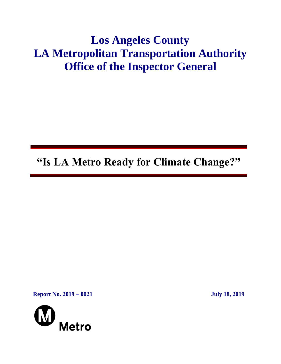# **Los Angeles County LA Metropolitan Transportation Authority Office of the Inspector General**

**"Is LA Metro Ready for Climate Change?"**

**Report No. 2019 – 0021 July 18, 2019**

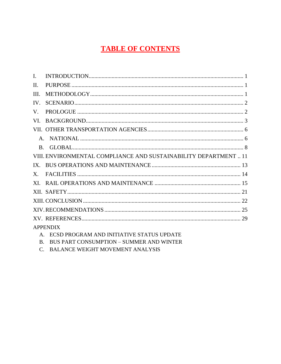# **TABLE OF CONTENTS**

| $\mathbf{I}$ . |                                                                  |
|----------------|------------------------------------------------------------------|
| II.            |                                                                  |
| III.           |                                                                  |
| IV.            |                                                                  |
| $V_{\cdot}$    |                                                                  |
| VI.            |                                                                  |
|                |                                                                  |
|                |                                                                  |
|                |                                                                  |
|                | VIII. ENVIRONMENTAL COMPLIANCE AND SUSTAINABILITY DEPARTMENT  11 |
|                |                                                                  |
|                |                                                                  |
|                |                                                                  |
|                |                                                                  |
|                |                                                                  |
|                |                                                                  |
|                |                                                                  |
|                | <b>APPENDIX</b>                                                  |
|                | A. ECSD PROGRAM AND INITIATIVE STATUS UPDATE                     |

- B. BUS PART CONSUMPTION SUMMER AND WINTER
- C. BALANCE WEIGHT MOVEMENT ANALYSIS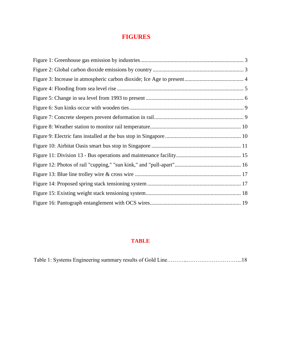### **FIGURES**

### **TABLE**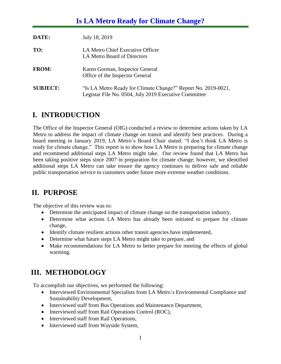# **Is LA Metro Ready for Climate Change?**

| DATE:           | July 18, 2019                                                                                                          |
|-----------------|------------------------------------------------------------------------------------------------------------------------|
| TO:             | LA Metro Chief Executive Officer<br>LA Metro Board of Directors                                                        |
| <b>FROM:</b>    | Karen Gorman, Inspector General<br>Office of the Inspector General                                                     |
| <b>SUBJECT:</b> | "Is LA Metro Ready for Climate Change?" Report No. 2019-0021,<br>Legistar File No. 0504, July 2019 Executive Committee |

# <span id="page-3-0"></span>**I. INTRODUCTION**

The Office of the Inspector General (OIG) conducted a review to determine actions taken by LA Metro to address the impact of climate change on transit and identify best practices. During a board meeting in January 2019, LA Metro's Board Chair stated: "I don't think LA Metro is ready for climate change." This report is to show how LA Metro is preparing for climate change and recommend additional steps LA Metro might take. Our review found that LA Metro has been taking positive steps since 2007 in preparation for climate change; however, we identified additional steps LA Metro can take ensure the agency continues to deliver safe and reliable public transportation service to customers under future more extreme weather conditions.

# <span id="page-3-1"></span>**II. PURPOSE**

The objective of this review was to:

- Determine the anticipated impact of climate change on the transportation industry,
- Determine what actions LA Metro has already been initiated to prepare for climate change,
- Identify climate resilient actions other transit agencies have implemented,
- Determine what future steps LA Metro might take to prepare, and
- Make recommendations for LA Metro to better prepare for meeting the effects of global warming.

# <span id="page-3-2"></span>**III. METHODOLOGY**

To accomplish our objectives, we performed the following:

- Interviewed Environmental Specialists from LA Metro's Environmental Compliance and Sustainability Development,
- Interviewed staff from Bus Operations and Maintenance Department,
- Interviewed staff from Rail Operations Control (ROC),
- Interviewed staff from Rail Operations,
- Interviewed staff from Wayside System,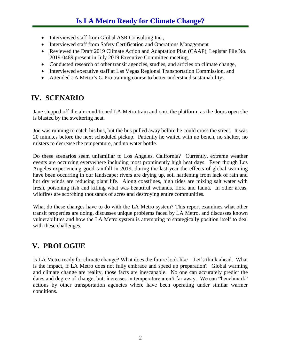- Interviewed staff from Global ASR Consulting Inc.,
- Interviewed staff from Safety Certification and Operations Management
- Reviewed the Draft 2019 Climate Action and Adaptation Plan (CAAP), Legistar File No. 2019-0489 present in July 2019 Executive Committee meeting,
- Conducted research of other transit agencies, studies, and articles on climate change,
- Interviewed executive staff at Las Vegas Regional Transportation Commission, and
- Attended LA Metro's G-Pro training course to better understand sustainability.

# <span id="page-4-0"></span>**IV. SCENARIO**

Jane stepped off the air-conditioned LA Metro train and onto the platform, as the doors open she is blasted by the sweltering heat.

Joe was running to catch his bus, but the bus pulled away before he could cross the street. It was 20 minutes before the next scheduled pickup. Patiently he waited with no bench, no shelter, no misters to decrease the temperature, and no water bottle.

Do these scenarios seem unfamiliar to Los Angeles, California? Currently, extreme weather events are occurring everywhere including most prominently high heat days. Even though Los Angeles experiencing good rainfall in 2019, during the last year the effects of global warming have been occurring in our landscape; rivers are drying up, soil hardening from lack of rain and hot dry winds are reducing plant life. Along coastlines, high tides are mixing salt water with fresh, poisoning fish and killing what was beautiful wetlands, flora and fauna. In other areas, wildfires are scorching thousands of acres and destroying entire communities.

What do these changes have to do with the LA Metro system? This report examines what other transit properties are doing, discusses unique problems faced by LA Metro, and discusses known vulnerabilities and how the LA Metro system is attempting to strategically position itself to deal with these challenges.

# <span id="page-4-1"></span>**V. PROLOGUE**

Is LA Metro ready for climate change? What does the future look like – Let's think ahead. What is the impact, if LA Metro does not fully embrace and speed up preparation? Global warming and climate change are reality, those facts are inescapable. No one can accurately predict the dates and degree of change; but, increases in temperature aren't far away. We can "benchmark" actions by other transportation agencies where have been operating under similar warmer conditions.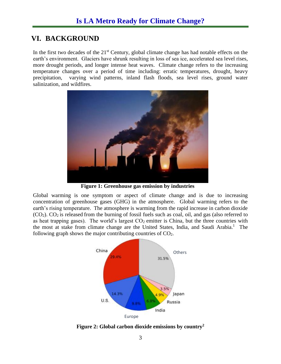## <span id="page-5-0"></span>**VI. BACKGROUND**

In the first two decades of the  $21<sup>st</sup>$  Century, global climate change has had notable effects on the earth's environment. Glaciers have shrunk resulting in loss of sea ice, accelerated sea level rises, more drought periods, and longer intense heat waves. Climate change refers to the increasing temperature changes over a period of time including: erratic temperatures, drought, heavy precipitation, varying wind patterns, inland flash floods, sea level rises, ground water salinization, and wildfires.



**Figure 1: Greenhouse gas emission by industries**

Global warming is one symptom or aspect of climate change and is due to increasing concentration of greenhouse gases (GHG) in the atmosphere. Global warming refers to the earth's rising temperature. The atmosphere is warming from the rapid increase in carbon dioxide  $(CO<sub>2</sub>)$ .  $CO<sub>2</sub>$  is released from the burning of fossil fuels such as coal, oil, and gas (also referred to as heat trapping gases). The world's largest  $CO<sub>2</sub>$  emitter is China, but the three countries with the most at stake from climate change are the United States, India, and Saudi Arabia. 1 The following graph shows the major contributing countries of  $CO<sub>2</sub>$ .



<span id="page-5-1"></span>**Figure 2: Global carbon dioxide emissions by country<sup>2</sup>**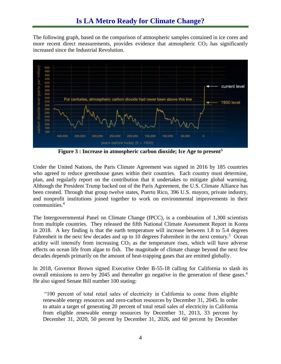The following graph, based on the comparison of atmospheric samples contained in ice cores and more recent direct measurements, provides evidence that atmospheric  $CO<sub>2</sub>$  has significantly increased since the Industrial Revolution.



**Figure 3 : Increase in atmospheric carbon dioxide; Ice Age to present<sup>3</sup>**

<span id="page-6-0"></span>Under the United Nations, the Paris Climate Agreement was signed in 2016 by 185 countries who agreed to reduce greenhouse gases within their countries. Each country must determine, plan, and regularly report on the contribution that it undertakes to mitigate [global warming.](https://en.wikipedia.org/wiki/Global_warming) Although the President Trump backed out of the Paris Agreement, the U.S. Climate Alliance has been created. Through that group twelve states, Puerto Rico, 396 U.S. mayors, private industry, and nonprofit institutions joined together to work on environmental improvements in their communities. 4

The Intergovernmental Panel on Climate Change (IPCC), is a combination of 1,300 scientists from multiple countries. They released the fifth National Climate Assessment Report in Korea in 2018. A key finding is that the earth temperature will increase between 1.8 to 5.4 degrees Fahrenheit in the next few decades and up to 10 degrees Fahrenheit in the next century.<sup>5</sup> Ocean acidity will intensify from increasing  $CO<sub>2</sub>$  as the temperature rises, which will have adverse effects on ocean life from algae to fish. The magnitude of climate change beyond the next few decades depends primarily on the amount of heat-trapping gases that are emitted globally.

In 2018, Governor Brown signed Executive Order B-55-18 calling for California to slash its overall emissions to zero by 2045 and thereafter go negative in the generation of these gases.<sup>6</sup> He also signed Senate Bill number 100 stating:

"100 percent of total retail sales of electricity in California to come from eligible renewable energy resources and zero-carbon resources by December 31, 2045. In order to attain a target of generating 20 percent of total retail sales of electricity in California from eligible renewable energy resources by December 31, 2013, 33 percent by December 31, 2020, 50 percent by December 31, 2026, and 60 percent by December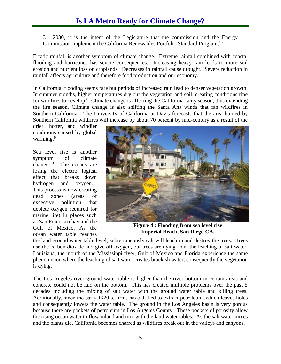# **Is LA Metro Ready for Climate Change?**

31, 2030, it is the intent of the Legislature that the commission and the Energy Commission implement the California Renewables Portfolio Standard Program."7

Erratic rainfall is another symptom of climate change. Extreme rainfall combined with coastal flooding and hurricanes has severe consequences. Increasing heavy rain leads to more soil erosion and nutrient loss on croplands. Decreases in rainfall cause drought. Severe reduction in rainfall affects agriculture and therefore food production and our economy.

In California, flooding seems rare but periods of increased rain lead to denser vegetation growth. In summer months, higher temperatures dry out the vegetation and soil, creating conditions ripe for wildfires to develop.<sup>8</sup> Climate change is affecting the California rainy season, thus extending the fire season. Climate change is also shifting the Santa Ana winds that fan wildfires in Southern California. The University of California at Davis forecasts that the area burned by Southern California wildfires will increase by about 70 percent by mid-century as a result of the

drier, hotter, and windier conditions caused by global warming.<sup>9</sup>

Sea level rise is another symptom of climate change.<sup>10</sup> The oceans are losing the electro logical effect that breaks down hydrogen and oxygen.<sup>11</sup> This process is now creating dead zones (areas of excessive pollution that deplete oxygen required for marine life) in places such as San Francisco bay and the Gulf of Mexico. As the ocean water table reaches



**Figure 4 : Flooding from sea level rise Imperial Beach, San Diego CA.**

the land ground water table level, subterraneously salt will leach in and destroy the trees. Trees use the carbon dioxide and give off oxygen, but trees are dying from the leaching of salt water. Louisiana, the mouth of the Mississippi river, Gulf of Mexico and Florida experience the same phenomenon where the leaching of salt water creates brackish water, consequently the vegetation is dying.

The Los Angeles river ground water table is higher than the river bottom in certain areas and concrete could not be laid on the bottom. This has created multiple problems over the past 5 decades including the mixing of salt water with the ground water table and killing trees. Additionally, since the early 1920's, firms have drilled to extract petroleum, which leaves holes and consequently lowers the water table. The ground in the Los Angeles basin is very porous because there are pockets of petroleum in Los Angeles County. These pockets of porosity allow the rising ocean water to flow-inland and mix with the land water tables. As the salt water mixes and the plants die, California becomes charred as wildfires break out in the valleys and canyons.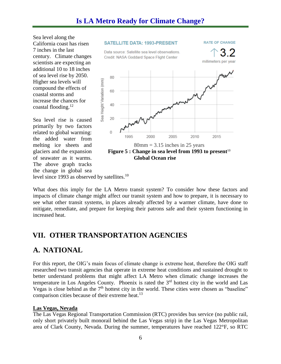Sea level along the California coast has risen 7 inches in the last century. Climate changes scientists are expecting an additional 10 to 18 inches of sea level rise by 2050. Higher sea levels will compound the effects of coastal storms and increase the chances for coastal flooding.<sup>12</sup>

Sea level rise is caused primarily by two factors related to global warming: the added water from melting ice sheets and glaciers and the expansion of seawater as it warms. The above graph tracks the change in global sea level since 1993 as observed by satellites.<sup>10</sup>



G

What does this imply for the LA Metro transit system? To consider how these factors and impacts of climate change might affect our transit system and how to prepare, it is necessary to see what other transit systems, in places already affected by a warmer climate, have done to mitigate, remediate, and prepare for keeping their patrons safe and their system functioning in increased heat.

## <span id="page-8-0"></span>**VII. OTHER TRANSPORTATION AGENCIES**

## <span id="page-8-1"></span>**A. NATIONAL**

For this report, the OIG's main focus of climate change is extreme heat, therefore the OIG staff researched two transit agencies that operate in extreme heat conditions and sustained drought to better understand problems that might affect LA Metro when climatic change increases the temperature in Los Angeles County. Phoenix is rated the  $3<sup>rd</sup>$  hottest city in the world and Las Vegas is close behind as the  $7<sup>th</sup>$  hottest city in the world. These cities were chosen as "baseline" comparison cities because of their extreme heat.<sup>13</sup>

### **Las Vegas, Nevada**

The Las Vegas Regional Transportation Commission (RTC) provides bus service (no public rail, only short privately built monorail behind the Las Vegas strip) in the Las Vegas Metropolitan area of Clark County, Nevada. During the summer, temperatures have reached 122°F, so RTC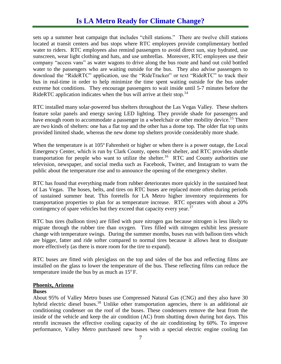# **Is LA Metro Ready for Climate Change?**

sets up a summer heat campaign that includes "chill stations." There are twelve chill stations located at transit centers and bus stops where RTC employees provide complimentary bottled water to riders. RTC employees also remind passengers to avoid direct sun, stay hydrated, use sunscreen, wear light clothing and hats, and use umbrellas. Moreover, RTC employees use their company "access vans" as water wagons to drive along the bus route and hand out cold bottled water to the passengers who are waiting outside for the bus. They also advise passengers to download the "RideRTC" application, use the "RideTracker" or text "RideRTC" to track their bus in real-time in order to help minimize the time spent waiting outside for the bus under extreme hot conditions. They encourage passengers to wait inside until 5-7 minutes before the RideRTC application indicates when the bus will arrive at their stop.<sup>14</sup>

RTC installed many solar-powered bus shelters throughout the Las Vegas Valley. These shelters feature solar panels and energy saving LED lighting. They provide shade for passengers and have enough room to accommodate a passenger in a wheelchair or other mobility device.<sup>15</sup> There are two kinds of shelters: one has a flat top and the other has a dome top. The older flat top units provided limited shade, whereas the new dome top shelters provide considerably more shade.

When the temperature is at 105<sup>o</sup> Fahrenheit or higher or when there is a power outage, the Local Emergency Center, which is run by Clark County, opens their shelter, and RTC provides shuttle transportation for people who want to utilize the shelter.<sup>16</sup> RTC and County authorities use television, newspaper, and social media such as Facebook, Twitter, and Instagram to warn the public about the temperature rise and to announce the opening of the emergency shelter.

RTC has found that everything made from rubber deteriorates more quickly in the sustained heat of Las Vegas. The hoses, belts, and tires on RTC buses are replaced more often during periods of sustained summer heat. This foretells for LA Metro higher inventory requirements for transportation properties to plan for as temperature increase. RTC operates with about a 20% contingency of spare vehicles but they exceed that capacity every year.<sup>17</sup>

RTC bus tires (balloon tires) are filled with pure nitrogen gas because nitrogen is less likely to migrate through the rubber tire than oxygen. Tires filled with nitrogen exhibit less pressure change with temperature swings. During the summer months, buses run with balloon tires which are bigger, fatter and ride softer compared to normal tires because it allows heat to dissipate more effectively (as there is more room for the tire to expand).

RTC buses are fitted with plexiglass on the top and sides of the bus and reflecting films are installed on the glass to lower the temperature of the bus. These reflecting films can reduce the temperature inside the bus by as much as  $15^{\circ}$  F.

#### **Phoenix, Arizona**

#### **Buses**

About 95% of Valley Metro buses use Compressed Natural Gas (CNG) and they also have 30 hybrid electric diesel buses.<sup>18</sup> Unlike other transportation agencies, there is an additional air conditioning condenser on the roof of the buses. These condensers remove the heat from the inside of the vehicle and keep the air condition (AC) from shutting down during hot days. This retrofit increases the effective cooling capacity of the air conditioning by 60%. To improve performance, Valley Metro purchased new buses with a special electric engine cooling fan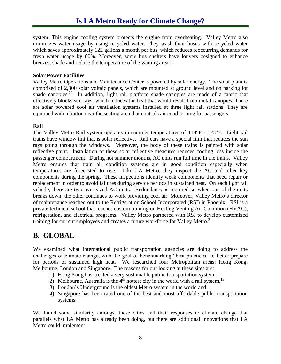system. This engine cooling system protects the engine from overheating. Valley Metro also minimizes water usage by using recycled water. They wash their buses with recycled water which saves approximately 122 gallons a month per bus, which reduces reoccurring demands for fresh water usage by 60%. Moreover, some bus shelters have louvers designed to enhance breezes, shade and reduce the temperature of the waiting area.<sup>19</sup>

#### **Solar Power Facilities**

Valley Metro Operations and Maintenance Center is powered by solar energy. The solar plant is comprised of 2,800 solar voltaic panels, which are mounted at ground level and on parking lot shade canopies.<sup>20</sup> In addition, light rail platform shade canopies are made of a fabric that effectively blocks sun rays, which reduces the heat that would result from metal canopies. There are solar powered cool air ventilation systems installed at three light rail stations. They are equipped with a button near the seating area that controls air conditioning for passengers.

#### **Rail**

The Valley Metro Rail system operates in summer temperatures of 118°F - 123°F. Light rail trains have window tint that is solar reflective. Rail cars have a special film that reduces the sun rays going through the windows. Moreover, the body of these trains is painted with solar reflective paint. Installation of these solar reflective measures reduces cooling loss inside the passenger compartment. During hot summer months, AC units run full time in the trains. Valley Metro ensures that train air condition systems are in good condition especially when temperatures are forecasted to rise. Like LA Metro, they inspect the AC and other key components during the spring. These inspections identify weak components that need repair or replacement in order to avoid failures during service periods in sustained heat. On each light rail vehicle, there are two over-sized AC units. Redundancy is required so when one of the units breaks down, the other continues to work providing cool air. Moreover, Valley Metro's director of maintenance reached out to the Refrigeration School Incorporated (RSI) in Phoenix. RSI is a private technical school that teaches custom training on Heating Venting Air Condition (HVAC), refrigeration, and electrical programs. Valley Metro partnered with RSI to develop customized training for current employees and creates a future workforce for Valley Metro.<sup>21</sup>

## <span id="page-10-0"></span>**B. GLOBAL**

We examined what international public transportation agencies are doing to address the challenges of climate change, with the goal of benchmarking "best practices" to better prepare for periods of sustained high heat. We researched four Metropolitan areas: Hong Kong, Melbourne, London and Singapore. The reasons for our looking at these sites are:

- 1) Hong Kong has created a very sustainable public transportation system,
- 2) Melbourne, Australia is the  $4<sup>th</sup>$  hottest city in the world with a rail system,  $1<sup>3</sup>$
- 3) London's Underground is the oldest Metro system in the world and
- 4) Singapore has been rated one of the best and most affordable public transportation systems.

We found some similarity amongst these cities and their responses to climate change that parallels what LA Metro has already been doing, but there are additional innovations that LA Metro could implement.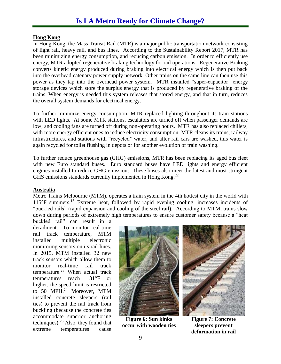### **Hong Kong**

In Hong Kong, the Mass Transit Rail (MTR) is a major public transportation network consisting of light rail, heavy rail, and bus lines. According to the Sustainability Report 2017, MTR has been minimizing energy consumption, and reducing carbon emission. In order to efficiently use energy, MTR adopted regenerative braking technology for rail operations. Regenerative Braking converts kinetic energy produced during braking into electrical energy which is then put back into the overhead catenary power supply network. Other trains on the same line can then use this power as they tap into the overhead power system. MTR installed "super-capacitor" energy storage devices which store the surplus energy that is produced by regenerative braking of the trains. When energy is needed this system releases that stored energy, and that in turn, reduces the overall system demands for electrical energy.

To further minimize energy consumption, MTR replaced lighting throughout its train stations with LED lights. At some MTR stations, escalators are turned off when passenger demands are low; and cooling fans are turned off during non-operating hours. MTR has also replaced chillers, with more energy efficient ones to reduce electricity consumption. MTR cleans its trains, railway infrastructures, and stations with "recycled" water, and after rail cars are washed, this water is again recycled for toilet flushing in depots or for another evolution of train washing.

To further reduce greenhouse gas (GHG) emissions, MTR has been replacing its aged bus fleet with new Euro standard buses. Euro standard buses have LED lights and energy efficient engines installed to reduce GHG emissions. These buses also meet the latest and most stringent GHS emissions standards currently implemented in Hong Kong.<sup>22</sup>

#### **Australia**

Metro Trains Melbourne (MTM), operates a train system in the 4th hottest city in the world with 115°F summers. <sup>15</sup> Extreme heat, followed by rapid evening cooling, increases incidents of "buckled rails" (rapid expansion and cooling of the steel rail). According to MTM, trains slow down during periods of extremely high temperatures to ensure customer safety because a "heat

buckled rail" can result in a derailment. To monitor real-time rail track temperature, MTM installed multiple electronic monitoring sensors on its rail lines. In 2015, MTM installed 32 new track sensors which allow them to monitor real-time rail track temperature. <sup>23</sup> When actual track temperatures reach 131°F or higher, the speed limit is restricted to 50 MPH. <sup>24</sup> Moreover, MTM installed concrete sleepers (rail ties) to prevent the rail track from buckling (because the concrete ties accommodate superior anchoring techniques). <sup>25</sup> Also, they found that extreme temperatures cause



**Figure 6: Sun kinks occur with wooden ties**



**Figure 7: Concrete sleepers prevent deformation in rail**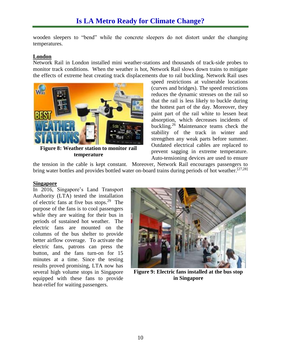wooden sleepers to "bend" while the concrete sleepers do not distort under the changing temperatures.

#### **London**

Network Rail in London installed mini weather-stations and thousands of track-side probes to monitor track conditions. When the weather is hot, Network Rail slows down trains to mitigate the effects of extreme heat creating track displacements due to rail buckling. Network Rail uses



**Figure 8: Weather station to monitor rail temperature** 

speed restrictions at vulnerable locations (curves and bridges). The speed restrictions reduces the dynamic stresses on the rail so that the rail is less likely to buckle during the hottest part of the day. Moreover, they paint part of the rail white to lessen heat absorption, which decreases incidents of buckling.<sup>26</sup> Maintenance teams check the stability of the track in winter and strengthen any weak parts before summer. Outdated electrical cables are replaced to prevent sagging in extreme temperature. Auto-tensioning devices are used to ensure

the tension in the cable is kept constant. Moreover, Network Rail encourages passengers to bring water bottles and provides bottled water on-board trains during periods of hot weather.<sup>[27,28]</sup>

#### **Singapore**

In 2016, Singapore's Land Transport Authority (LTA) tested the installation of electric fans at five bus stops.<sup>29</sup> The purpose of the fans is to cool passengers while they are waiting for their bus in periods of sustained hot weather. The electric fans are mounted on the columns of the bus shelter to provide **better airflow coverage.** To activate the electric fans, patrons can press the button, and the fans turn-on for 15 minutes at a time. Since the testing results proved promising, LTA now has several high volume stops in Singapore equipped with these fans to provide heat-relief for waiting passengers.



**Figure 9: Electric fans installed at the bus stop in Singapore**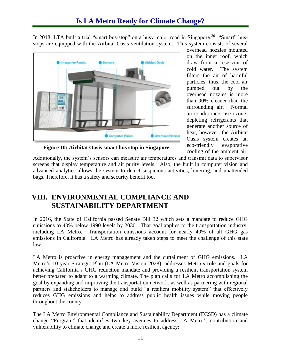In 2018, LTA built a trial "smart bus-stop" on a busy major road in Singapore.<sup>30</sup> "Smart" busstops are equipped with the Airbitat Oasis ventilation system. This system consists of several



overhead nozzles mounted on the inner roof, which draw from a reservoir of cold water. The system filters the air of harmful particles; thus, the cool air pumped out by the overhead nozzles is more than 90% cleaner than the surrounding air. Normal air-conditioners use ozonedepleting refrigerants that generate another source of heat, however, the Airbitat Oasis system creates an eco-friendly evaporative cooling of the ambient air.

**Figure 10: Airbitat Oasis smart bus stop in Singapore**

Additionally, the system's sensors can measure air temperatures and transmit data to supervisor screens that display temperature and air purity levels. Also, the built in computer vision and advanced analytics allows the system to detect suspicious activities, loitering, and unattended bags. Therefore, it has a safety and security benefit too.

## <span id="page-13-0"></span>**VIII. ENVIRONMENTAL COMPLIANCE AND SUSTAINABILITY DEPARTMENT**

In 2016, the State of California passed Senate Bill 32 which sets a mandate to reduce GHG emissions to 40% below 1990 levels by 2030. That goal applies to the transportation industry, including LA Metro. Transportation emissions account for nearly 40% of all GHG gas emissions in California. LA Metro has already taken steps to meet the challenge of this state law.

Metro's 10 year Strategic Plan (LA Metro Vision 2028), addresses Metro's role and goals for LA Metro is proactive in energy management and the curtailment of GHG emissions. LA achieving California's GHG reduction mandate and providing a resilient transportation system better prepared to adapt to a warming climate. The plan calls for LA Metro accomplishing the goal by expanding and improving the transportation network, as well as partnering with regional partners and stakeholders to manage and build "a resilient mobility system" that effectively reduces GHG emissions and helps to address public health issues while moving people throughout the county.

The LA Metro Environmental Compliance and Sustainability Department (ECSD) has a climate change "Program" that identifies two key avenues to address LA Metro's contribution and vulnerability to climate change and create a more resilient agency: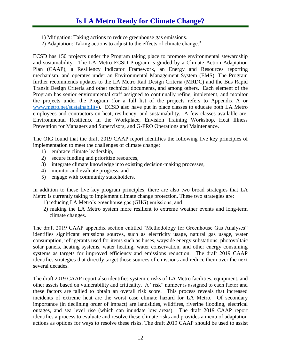- 1) Mitigation: Taking actions to reduce greenhouse gas emissions.
- 2) Adaptation: Taking actions to adjust to the effects of climate change.<sup>31</sup>

ECSD has 150 projects under the Program taking place to promote environmental stewardship and sustainability. The LA Metro ECSD Program is guided by a Climate Action Adaptation Plan (CAAP), a Resiliency Indicator Framework, an Energy and Resources reporting mechanism, and operates under an Environmental Management System (EMS). The Program further recommends updates to the LA Metro Rail Design Criteria (MRDC) and the Bus Rapid Transit Design Criteria and other technical documents, and among others. Each element of the Program has senior environmental staff assigned to continually refine, implement, and monitor the projects under the Program (for a full list of the projects refers to Appendix A or [www.metro.net/sustainability\)](http://www.metro.net/sustainability). ECSD also have put in place classes to educate both LA Metro employees and contractors on heat, resiliency, and sustainability. A few classes available are: Environmental Resilience in the Workplace, Envision Training Workshop, Heat Illness Prevention for Managers and Supervisors, and G-PRO Operations and Maintenance.

The OIG found that the draft 2019 CAAP report identifies the following five key principles of implementation to meet the challenges of climate change:

- 1) embrace climate leadership,
- 2) secure funding and prioritize resources,
- 3) integrate climate knowledge into existing decision-making processes,
- 4) monitor and evaluate progress, and
- 5) engage with community stakeholders.

In addition to these five key program principles, there are also two broad strategies that LA Metro is currently taking to implement climate change protection. These two strategies are:

- 1) reducing LA Metro's greenhouse gas (GHG) emissions, and
- 2) making the LA Metro system more resilient to extreme weather events and long-term climate changes.

The draft 2019 CAAP appendix section entitled "Methodology for Greenhouse Gas Analyses" identifies significant emissions sources, such as electricity usage, natural gas usage, water consumption, refrigerants used for items such as buses, wayside energy substations, photovoltaic solar panels, heating systems, water heating, water conservation, and other energy consuming systems as targets for improved efficiency and emissions reduction. The draft 2019 CAAP identifies strategies that directly target those sources of emissions and reduce them over the next several decades.

The draft 2019 CAAP report also identifies systemic risks of LA Metro facilities, equipment, and other assets based on vulnerability and criticality. A "risk" number is assigned to each factor and these factors are tallied to obtain an overall risk score. This process reveals that increased incidents of extreme heat are the worst case climate hazard for LA Metro. Of secondary importance (in declining order of impact) are landslides**,** wildfires, riverine flooding, electrical outages, and sea level rise (which can inundate low areas). The draft 2019 CAAP report identifies a process to evaluate and resolve these climate risks and provides a menu of adaptation actions as options for ways to resolve these risks. The draft 2019 CAAP should be used to assist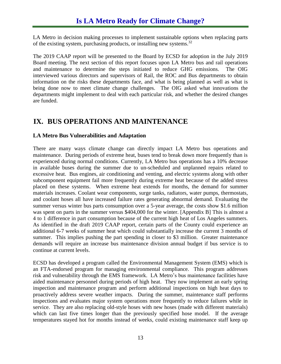LA Metro in decision making processes to implement sustainable options when replacing parts of the existing system, purchasing products, or installing new systems.<sup>32</sup>

The 2019 CAAP report will be presented to the Board by ECSD for adoption in the July 2019 Board meeting. The next section of this report focuses upon LA Metro bus and rail operations and maintenance to determine the steps initiated to reduce GHG emissions. The OIG interviewed various directors and supervisors of Rail, the ROC and Bus departments to obtain information on the risks these departments face, and what is being planned as well as what is being done now to meet climate change challenges. The OIG asked what innovations the departments might implement to deal with each particular risk, and whether the desired changes are funded.

## <span id="page-15-0"></span>**IX. BUS OPERATIONS AND MAINTENANCE**

#### **LA Metro Bus Vulnerabilities and Adaptation**

There are many ways climate change can directly impact LA Metro bus operations and maintenance. During periods of extreme heat, buses tend to break down more frequently than is experienced during normal conditions. Currently, LA Metro bus operations has a 10% decrease in available buses during the summer due to un-scheduled and unplanned repairs related to excessive heat. Bus engines, air conditioning and venting, and electric systems along with other subcomponent equipment fail more frequently during extreme heat because of the added stress placed on these systems. When extreme heat extends for months, the demand for summer materials increases. Coolant wear components, surge tanks, radiators, water pumps, thermostats, and coolant hoses all have increased failure rates generating abnormal demand. Evaluating the summer versus winter bus parts consumption over a 5-year average, the costs show \$1.6 million was spent on parts in the summer versus \$404,000 for the winter. [Appendix B] This is almost a 4 to 1 difference in part consumption because of the current high heat of Los Angeles summers. As identified in the draft 2019 CAAP report, certain parts of the County could experience an additional 6-7 weeks of summer heat which could substantially increase the current 3 months of summer. This implies pushing the part spending in closer to \$3 million. Greater maintenance demands will require an increase bus maintenance division annual budget if bus service is to continue at current levels.

ECSD has developed a program called the Environmental Management System (EMS) which is an FTA-endorsed program for managing environmental compliance. This program addresses risk and vulnerability through the EMS framework. LA Metro's bus maintenance facilities have aided maintenance personnel during periods of high heat. They now implement an early spring inspection and maintenance program and perform additional inspections on high heat days to proactively address severe weather impacts. During the summer, maintenance staff performs inspections and evaluates major system operations more frequently to reduce failures while in service. They are also replacing old-style hoses with new hoses (made with different materials) which can last five times longer than the previously specified hose model. If the average temperatures stayed hot for months instead of weeks, could existing maintenance staff keep up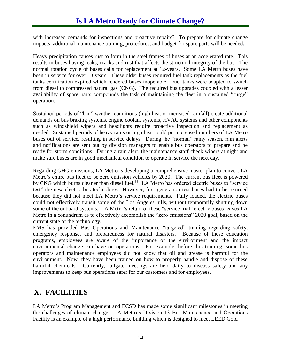with increased demands for inspections and proactive repairs? To prepare for climate change impacts, additional maintenance training, procedures, and budget for spare parts will be needed**.**

Heavy precipitation causes rust to form in the steel frames of buses at an accelerated rate. This results in buses having leaks, cracks and rust that affects the structural integrity of the bus. The normal rotation cycle of buses calls for replacement at 12-years. Some LA Metro buses have been in service for over 18 years. These older buses required fuel tank replacements as the fuel tanks certification expired which rendered buses inoperable. Fuel tanks were adapted to switch from diesel to compressed natural gas (CNG). The required bus upgrades coupled with a lesser availability of spare parts compounds the task of maintaining the fleet in a sustained "surge" operation.

Sustained periods of "bad" weather conditions (high heat or increased rainfall) create additional demands on bus braking systems, engine coolant systems, HVAC systems and other components such as windshield wipers and headlights require proactive inspection and replacement as needed. Sustained periods of heavy rains or high heat could put increased numbers of LA Metro buses out of service, resulting in service delays. During the "normal" rainy season, rain alerts and notifications are sent out by division managers to enable bus operators to prepare and be ready for storm conditions. During a rain alert, the maintenance staff check wipers at night and make sure buses are in good mechanical condition to operate in service the next day.

Regarding GHG emissions, LA Metro is developing a comprehensive master plan to convert LA Metro's entire bus fleet to be zero emission vehicles by 2030. The current bus fleet is powered by CNG which burns cleaner than diesel fuel.<sup>33</sup> LA Metro has ordered electric buses to "service" test" the new electric bus technology. However, first generation test buses had to be returned because they did not meet LA Metro's service requirements. Fully loaded, the electric buses could not effectively transit some of the Los Angeles hills, without temporarily shutting down some of the onboard systems. LA Metro's return of these "service trial" electric buses leaves LA Metro in a conundrum as to effectively accomplish the "zero emissions" 2030 goal, based on the current state of the technology.

EMS has provided Bus Operations and Maintenance "targeted" training regarding safety, emergency response, and preparedness for natural disasters. Because of these education programs, employees are aware of the importance of the environment and the impact environmental change can have on operations. For example, before this training, some bus operators and maintenance employees did not know that oil and grease is harmful for the environment. Now, they have been trained on how to properly handle and dispose of these harmful chemicals. Currently, tailgate meetings are held daily to discuss safety and any improvements to keep bus operations safer for our customers and for employees.

## <span id="page-16-0"></span>**X. FACILITIES**

LA Metro's Program Management and ECSD has made some significant milestones in meeting the challenges of climate change. LA Metro's Division 13 Bus Maintenance and Operations Facility is an example of a high performance building which is designed to meet LEED Gold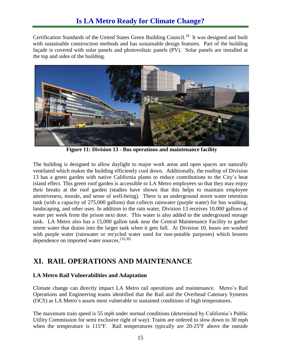Certification Standards of the United States Green Building Council.<sup>34</sup> It was designed and built with sustainable construction methods and has sustainable design features. Part of the building façade is covered with solar panels and photovoltaic panels (PV). Solar panels are installed at the top and sides of the building.



**Figure 11: Division 13 - Bus operations and maintenance facility**

The building is designed to allow daylight to major work areas and open spaces are naturally ventilated which makes the building efficiently cool down. Additionally, the rooftop of Division 13 has a green garden with native California plants to reduce contributions to the City's heat island effect. This green roof garden is accessible to LA Metro employees so that they may enjoy their breaks at the roof garden (studies have shown that this helps to maintain employee attentiveness, morale, and sense of well-being). There is an underground storm water retention tank (with a capacity of 275,000 gallons) that collects rainwater (purple water) for bus washing, landscaping, and other uses. In addition to the rain water, Division 13 receives 10,000 gallons of water per week from the prison next door. This water is also added to the underground storage tank. LA Metro also has a 15,000 gallon tank near the Central Maintenance Facility to gather storm water that drains into the larger tank when it gets full. At Division 10, buses are washed with purple water (rainwater or recycled water used for non-potable purposes) which lessens dependence on imported water sources.<sup>[35,36]</sup>

### <span id="page-17-0"></span>**XI. RAIL OPERATIONS AND MAINTENANCE**

### **LA Metro Rail Vulnerabilities and Adaptation**

Climate change can directly impact LA Metro rail operations and maintenance. Metro's Rail Operations and Engineering teams identified that the Rail and the Overhead Catenary Systems (OCS) as LA Metro's assets most vulnerable to sustained conditions of high temperatures.

The maximum train speed is 55 mph under normal conditions (determined by California's Public Utility Commission for semi exclusive right of way). Trains are ordered to slow down to 30 mph when the temperature is  $115^{\circ}$ F. Rail temperatures typically are  $20-25^{\circ}$ F above the outside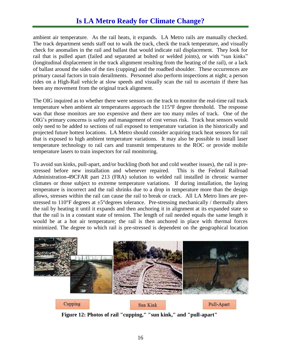ambient air temperature. As the rail heats, it expands. LA Metro rails are manually checked. The track department sends staff out to walk the track, check the track temperature, and visually check for anomalies in the rail and ballast that would indicate rail displacement. They look for rail that is pulled apart (failed and separated at bolted or welded joints), or with "sun kinks" (longitudinal displacement in the track alignment resulting from the heating of the rail), or a lack of ballast around the sides of the ties (cupping) and the roadbed shoulder. These occurrences are primary causal factors in train derailments. Personnel also perform inspections at night; a person rides on a High-Rail vehicle at slow speeds and visually scan the rail to ascertain if there has been any movement from the original track alignment.

The OIG inquired as to whether there were sensors on the track to monitor the real-time rail track temperature when ambient air temperatures approach the 115°F degree threshold. The response was that those monitors are too expensive and there are too many miles of track. One of the OIG's primary concerns is safety and management of cost versus risk. Track heat sensors would only need to be added to sections of rail exposed to temperature variation in the historically and projected future hottest locations. LA Metro should consider acquiring track heat sensors for rail that is exposed to high ambient temperature variations. It may also be possible to install laser temperature technology to rail cars and transmit temperatures to the ROC or provide mobile temperature lasers to train inspectors for rail monitoring.

To avoid sun kinks, pull-apart, and/or buckling (both hot and cold weather issues), the rail is prestressed before new installation and whenever repaired. This is the Federal Railroad Administration-49CFAR part 213 (FRA) solution to welded rail installed in chronic warmer climates or those subject to extreme temperature variations. If during installation, the laying temperature is incorrect and the rail shrinks due to a drop in temperature more than the design allows, stresses within the rail can cause the rail to break or crack. All LA Metro lines are prestressed to 110 $\degree$ F degrees at  $\pm$ 5 $\degree$ degrees tolerance. Pre-stressing mechanically / thermally alters the rail by heating it until it expands and then anchoring it in alignment at its expanded state so that the rail is in a constant state of tension. The length of rail needed equals the same length it would be at a hot air temperature; the rail is then anchored in place with thermal forces minimized. The degree to which rail is pre-stressed is dependent on the geographical location



**Figure 12: Photos of rail "cupping," "sun kink," and "pull-apart"**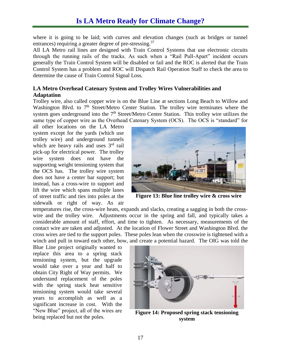where it is going to be laid; with curves and elevation changes (such as bridges or tunnel entrances) requiring a greater degree of pre-stressing.<sup>37</sup>

All LA Metro rail lines are designed with Train Control Systems that use electronic circuits through the running rails of the tracks. As such when a "Rail Pull-Apart" incident occurs generally the Train Control System will be disabled or fail and the ROC is alerted that the Train Control System has a problem and ROC will Dispatch Rail Operation Staff to check the area to determine the cause of Train Control Signal Loss.

### **LA Metro Overhead Catenary System and Trolley Wires Vulnerabilities and Adaptation**

Trolley wire, also called copper wire is on the Blue Line at sections Long Beach to Willow and Washington Blvd. to  $7<sup>th</sup>$  Street/Metro Center Station. The trolley wire terminates where the system goes underground into the  $7<sup>th</sup>$  Street/Metro Center Station. This trolley wire utilizes the same type of copper wire as the Overhead Catenary System (OCS). The OCS is "standard" for

all other locations on the LA Metro system except for the yards (which use trolley wire) and underground tunnels which are heavy rails and uses 3<sup>rd</sup> rail pick-up for electrical power. The trolley wire system does not have the supporting weight tensioning system that the OCS has. The trolley wire system does not have a center bar support; but instead, has a cross-wire to support and lift the wire which spans multiple lanes of street traffic and ties into poles at the sidewalk or right of way. As air



**Figure 13: Blue line trolley wire & cross wire**

temperatures rise, the cross-wire heats, expands and slacks, creating a sagging in both the crosswire and the trolley wire. Adjustments occur in the spring and fall, and typically takes a considerable amount of staff, effort, and time to tighten. As necessary, measurements of the contact wire are taken and adjusted. At the location of Flower Street and Washington Blvd. the cross wires are tied to the support poles. These poles lean when the crosswire is tightened with a winch and pull in toward each other, bow, and create a potential hazard. The OIG was told the

Blue Line project originally wanted to replace this area to a spring stack tensioning system, but the upgrade would take over a year and half to obtain City Right of Way permits. We understand replacement of the poles with the spring stack heat sensitive tensioning system would take several years to accomplish as well as a significant increase in cost. With the "New Blue" project, all of the wires are being replaced but not the poles.



**Figure 14: Proposed spring stack tensioning system**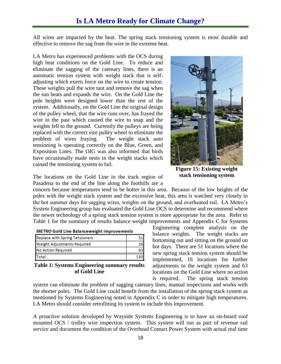All wires are impacted by the heat. The spring stack tensioning system is most durable and effective to remove the sag from the wire in the extreme heat.

LA Metro has experienced problems with the OCS during high heat conditions on the Gold Line. To reduce and eliminate the sagging of the catenary lines, there is an automatic tension system with weight stack that is selfadjusting which exerts force on the wire to create tension. These weights pull the wire taut and remove the sag when the sun heats and expands the wire. On the Gold Line the pole heights were designed lower than the rest of the system. Additionally, on the Gold Line the original design of the pulley wheel, that the wire runs over, has frayed the wire in the past which caused the wire to snap and the weights fell to the ground. Currently the pulleys are being replaced with the correct size pulley wheel to eliminate the problem of wires fraying. The weight stack auto tensioning is operating correctly on the Blue, Green, and Exposition Lines. The OIG was also informed that birds have occasionally made nests in the weight stacks which caused the tensioning system to fail.



**Figure 15: Existing weight stack tensioning system**

Engineering complete analysis on the balance weights. The weight stacks are bottoming out and sitting on the ground on hot days. There are 51 locations where the new spring stack tension system should be implemented, 16 locations for further adjustments to the weight system and 63 locations on the Gold Line where no action

The locations on the Gold Line in the track region of Pasadena to the end of the line along the foothills are a

concern because temperatures tend to be hotter in this area. Because of the low heights of the poles with the weight stack system and the excessive heat, this area is watched very closely in the hot summer days for sagging wires, weights on the ground, and overheated rail. LA Metro's System Engineering group has evaluated the Gold Line OCS to determine and recommend where the newer technology of a spring stack tension system is more appropriate for the area. Refer to Table 1 for the summary of results balance weight improvements and Appendix C for Systems

|  |  | <b>METRO Gold Line Balanceweight Improvements</b> |  |
|--|--|---------------------------------------------------|--|
|--|--|---------------------------------------------------|--|

| <b>Replace with Spring Tensioners</b> |    |
|---------------------------------------|----|
| Weight Adjustments Required           | 16 |
| <b>No Action Required</b>             | 63 |
| <b>Total</b>                          |    |

**Table 1: Systems Engineering summary results of Gold Line**

is required. The spring stack tension system can eliminate the problem of sagging catenary lines, manual inspections and works with the shorter poles. The Gold Line could benefit from the installation of the spring stack system as mentioned by Systems Engineering noted in Appendix C in order to mitigate high temperatures.<br> **I.A.** Matrix should consider natrofitting its system to include this immensional LA Metro should consider retrofitting its system to include this improvement.

A proactive solution developed by Wayside Systems Engineering is to have an on-board roof mounted OCS / trolley wire inspection system. This system will run as part of revenue rail service and document the condition of the Overhead Contact Power System with actual real time

18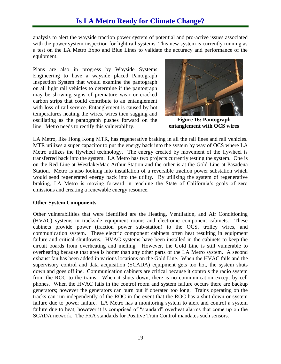analysis to alert the wayside traction power system of potential and pro-active issues associated with the power system inspection for light rail systems. This new system is currently running as a test on the LA Metro Expo and Blue Lines to validate the accuracy and performance of the equipment.

Plans are also in progress by Wayside Systems Engineering to have a wayside placed Pantograph Inspection System that would examine the pantograph on all light rail vehicles to determine if the pantograph may be showing signs of premature wear or cracked carbon strips that could contribute to an entanglement with loss of rail service. Entanglement is caused by hot temperatures heating the wires, wires then sagging and oscillating as the pantograph pushes forward on the line. Metro needs to rectify this vulnerability.



**Figure 16: Pantograph entanglement with OCS wires**

LA Metro, like Hong Kong MTR, has regenerative braking in all the rail lines and rail vehicles. MTR utilizes a super capacitor to put the energy back into the system by way of OCS where LA Metro utilizes the flywheel technology. The energy created by movement of the flywheel is transferred back into the system. LA Metro has two projects currently testing the system. One is on the Red Line at Westlake/Mac Arthur Station and the other is at the Gold Line at Pasadena Station. Metro is also looking into installation of a reversible traction power substation which would send regenerated energy back into the utility. By utilizing the system of regenerative braking, LA Metro is moving forward in reaching the State of California's goals of zero emissions and creating a renewable energy resource.

#### **Other System Components**

Other vulnerabilities that were identified are the Heating, Ventilation, and Air Conditioning (HVAC) systems in trackside equipment rooms and electronic component cabinets. These cabinets provide power (traction power sub-station) to the OCS, trolley wires, and communication system. These electric component cabinets often heat resulting in equipment failure and critical shutdowns. HVAC systems have been installed in the cabinets to keep the circuit boards from overheating and melting. However, the Gold Line is still vulnerable to overheating because that area is hotter than any other parts of the LA Metro system. A second exhaust fan has been added in various locations on the Gold Line. When the HVAC fails and the supervisory control and data acquisition (SCADA) equipment gets too hot, the system shuts down and goes offline. Communication cabinets are critical because it controls the radio system from the ROC to the trains. When it shuts down, there is no communication except by cell phones. When the HVAC fails in the control room and system failure occurs there are backup generators; however the generators can burn out if operated too long. Trains operating on the tracks can run independently of the ROC in the event that the ROC has a shut down or system failure due to power failure. LA Metro has a monitoring system to alert and control a system failure due to heat, however it is comprised of "standard" overheat alarms that come up on the SCADA network. The FRA standards for Positive Train Control mandates such sensors.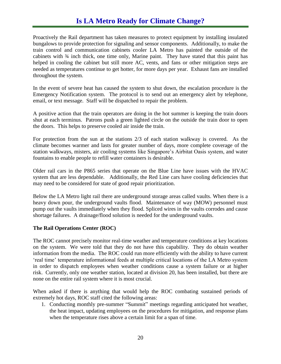# **Is LA Metro Ready for Climate Change?**

Proactively the Rail department has taken measures to protect equipment by installing insulated bungalows to provide protection for signaling and sensor components. Additionally, to make the train control and communication cabinets cooler LA Metro has painted the outside of the cabinets with  $\frac{3}{4}$  inch thick, one time only, Marine paint. They have stated that this paint has helped in cooling the cabinet but still more AC, vents, and fans or other mitigation steps are needed as temperatures continue to get hotter, for more days per year. Exhaust fans are installed throughout the system.

In the event of severe heat has caused the system to shut down, the escalation procedure is the Emergency Notification system. The protocol is to send out an emergency alert by telephone, email, or text message. Staff will be dispatched to repair the problem.

A positive action that the train operators are doing in the hot summer is keeping the train doors shut at each terminus. Patrons push a green lighted circle on the outside the train door to open the doors. This helps to preserve cooled air inside the train.

For protection from the sun at the stations 2/3 of each station walkway is covered. As the climate becomes warmer and lasts for greater number of days, more complete coverage of the station walkways, misters, air cooling systems like Singapore's Airbitat Oasis system, and water fountains to enable people to refill water containers is desirable.

Older rail cars in the P865 series that operate on the Blue Line have issues with the HVAC system that are less dependable. Additionally, the Red Line cars have cooling deficiencies that may need to be considered for state of good repair prioritization.

Below the LA Metro light rail there are underground storage areas called vaults. When there is a heavy down pour, the underground vaults flood. Maintenance of way (MOW) personnel must pump out the vaults immediately when they flood. Spliced wires in the vaults corrodes and cause shortage failures. A drainage/flood solution is needed for the underground vaults.

### **The Rail Operations Center (ROC)**

The ROC cannot precisely monitor real-time weather and temperature conditions at key locations on the system. We were told that they do not have this capability. They do obtain weather information from the media. The ROC could run more efficiently with the ability to have current 'real time' temperature informational feeds at multiple critical locations of the LA Metro system in order to dispatch employees when weather conditions cause a system failure or at higher risk. Currently, only one weather station, located at division 20, has been installed, but there are none on the entire rail system where it is most crucial.

When asked if there is anything that would help the ROC combating sustained periods of extremely hot days, ROC staff cited the following areas:

1. Conducting monthly pre-summer "Summit" meetings regarding anticipated hot weather, the heat impact, updating employees on the procedures for mitigation, and response plans when the temperature rises above a certain limit for a span of time.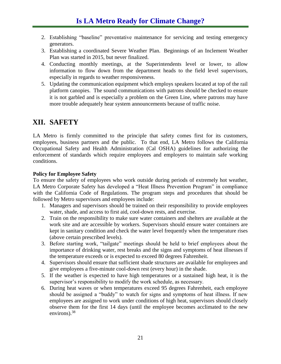- 2. Establishing "baseline" preventative maintenance for servicing and testing emergency generators.
- 3. Establishing a coordinated Severe Weather Plan. Beginnings of an Inclement Weather Plan was started in 2015, but never finalized.
- 4. Conducting monthly meetings, at the Superintendents level or lower, to allow information to flow down from the department heads to the field level supervisors, especially in regards to weather responsiveness.
- 5. Updating the communication equipment which employs speakers located at top of the rail platform canopies. The sound communications with patrons should be checked to ensure it is not garbled and is especially a problem on the Green Line, where patrons may have more trouble adequately hear system announcements because of traffic noise.

# <span id="page-23-0"></span>**XII. SAFETY**

LA Metro is firmly committed to the principle that safety comes first for its customers, employees, business partners and the public. To that end, LA Metro follows the California Occupational Safety and Health Administration (Cal OSHA) guidelines for authorizing the enforcement of standards which require employees and employers to maintain safe working conditions.

### **Policy for Employee Safety**

To ensure the safety of employees who work outside during periods of extremely hot weather, LA Metro Corporate Safety has developed a "Heat Illness Prevention Program" in compliance with the California Code of Regulations. The program steps and procedures that should be followed by Metro supervisors and employees include:

- 1. Managers and supervisors should be trained on their responsibility to provide employees water, shade, and access to first aid, cool-down rests, and exercise.
- 2. Train on the responsibility to make sure water containers and shelters are available at the work site and are accessible by workers. Supervisors should ensure water containers are kept in sanitary condition and check the water level frequently when the temperature rises (above certain prescribed levels).
- 3. Before starting work, "tailgate" meetings should be held to brief employees about the importance of drinking water, rest breaks and the signs and symptoms of heat illnesses if the temperature exceeds or is expected to exceed 80 degrees Fahrenheit.
- 4. Supervisors should ensure that sufficient shade structures are available for employees and give employees a five-minute cool-down rest (every hour) in the shade.
- 5. If the weather is expected to have high temperatures or a sustained high heat, it is the supervisor's responsibility to modify the work schedule, as necessary.
- 6. During heat waves or when temperatures exceed 95 degrees Fahrenheit, each employee should be assigned a "buddy" to watch for signs and symptoms of heat illness. If new employees are assigned to work under conditions of high heat, supervisors should closely observe them for the first 14 days (until the employee becomes acclimated to the new environs).<sup>38</sup>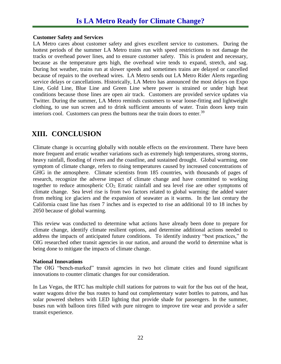#### **Customer Safety and Services**

LA Metro cares about customer safety and gives excellent service to customers. During the hottest periods of the summer LA Metro trains run with speed restrictions to not damage the tracks or overhead power lines, and to ensure customer safety. This is prudent and necessary, because as the temperature gets high, the overhead wire tends to expand, stretch, and sag. During hot weather, trains run at slower speeds and sometimes trains are delayed or cancelled because of repairs to the overhead wires. LA Metro sends out LA Metro Rider Alerts regarding service delays or cancellations. Historically, LA Metro has announced the most delays on Expo Line, Gold Line, Blue Line and Green Line where power is strained or under high heat conditions because those lines are open air track. Customers are provided service updates via Twitter. During the summer, LA Metro reminds customers to wear loose-fitting and lightweight clothing, to use sun screen and to drink sufficient amounts of water. Train doors keep train interiors cool. Customers can press the buttons near the train doors to enter.<sup>39</sup>

# <span id="page-24-0"></span>**XIII. CONCLUSION**

Climate change is occurring globally with notable effects on the environment. There have been more frequent and erratic weather variations such as extremely high temperatures, strong storms, heavy rainfall, flooding of rivers and the coastline, and sustained drought. Global warming, one symptom of climate change, refers to rising temperatures caused by increased concentrations of GHG in the atmosphere. Climate scientists from 185 countries, with thousands of pages of research, recognize the adverse impact of climate change and have committed to working together to reduce atmospheric CO2. Erratic rainfall and sea level rise are other symptoms of climate change. Sea level rise is from two factors related to global warming: the added water from melting ice glaciers and the expansion of seawater as it warms. In the last century the California coast line has risen 7 inches and is expected to rise an additional 10 to 18 inches by 2050 because of global warming.

This review was conducted to determine what actions have already been done to prepare for climate change, identify climate resilient options, and determine additional actions needed to address the impacts of anticipated future conditions. To identify industry "best practices," the OIG researched other transit agencies in our nation, and around the world to determine what is being done to mitigate the impacts of climate change.

### **National Innovations**

The OIG "bench-marked" transit agencies in two hot climate cities and found significant innovations to counter climatic changes for our consideration.

In Las Vegas, the RTC has multiple chill stations for patrons to wait for the bus out of the heat, water wagons drive the bus routes to hand out complementary water bottles to patrons, and has solar powered shelters with LED lighting that provide shade for passengers. In the summer, buses run with balloon tires filled with pure nitrogen to improve tire wear and provide a safer transit experience.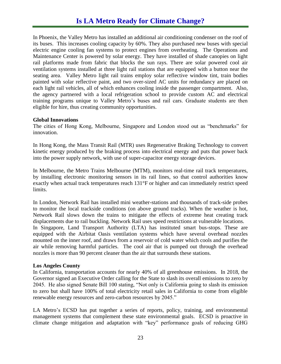In Phoenix, the Valley Metro has installed an additional air conditioning condenser on the roof of its buses. This increases cooling capacity by 60%. They also purchased new buses with special electric engine cooling fan systems to protect engines from overheating. The Operations and Maintenance Center is powered by solar energy. They have installed of shade canopies on light rail platforms made from fabric that blocks the sun rays. There are solar powered cool air ventilation systems installed at three light rail stations that are equipped with a button near the seating area. Valley Metro light rail trains employ solar reflective window tint, train bodies painted with solar reflective paint, and two over-sized AC units for redundancy are placed on each light rail vehicles, all of which enhances cooling inside the passenger compartment. Also, the agency partnered with a local refrigeration school to provide custom AC and electrical training programs unique to Valley Metro's buses and rail cars. Graduate students are then eligible for hire, thus creating community opportunities.

#### **Global Innovations**

The cities of Hong Kong, Melbourne, Singapore and London stood out as "benchmarks" for innovation.

In Hong Kong, the Mass Transit Rail (MTR) uses Regenerative Braking Technology to convert kinetic energy produced by the braking process into electrical energy and puts that power back into the power supply network, with use of super-capacitor energy storage devices.

In Melbourne, the Metro Trains Melbourne (MTM), monitors real-time rail track temperatures, by installing electronic monitoring sensors in its rail lines, so that control authorities know exactly when actual track temperatures reach 131°F or higher and can immediately restrict speed limits.

In London, Network Rail has installed mini weather-stations and thousands of track-side probes to monitor the local trackside conditions (on above ground tracks). When the weather is hot, Network Rail slows down the trains to mitigate the effects of extreme heat creating track displacements due to rail buckling. Network Rail uses speed restrictions at vulnerable locations. In Singapore, Land Transport Authority (LTA) has instituted smart bus-stops. These are equipped with the Airbitat Oasis ventilation systems which have several overhead nozzles mounted on the inner roof, and draws from a reservoir of cold water which cools and purifies the air while removing harmful particles. The cool air that is pumped out through the overhead nozzles is more than 90 percent cleaner than the air that surrounds these stations.

### **Los Angeles County**

In California, transportation accounts for nearly 40% of all greenhouse emissions. In 2018, the Governor signed an Executive Order calling for the State to slash its overall emissions to zero by 2045. He also signed Senate Bill 100 stating, "Not only is California going to slash its emission to zero but shall have 100% of total electricity retail sales in California to come from eligible renewable energy resources and zero-carbon resources by 2045."

LA Metro's ECSD has put together a series of reports, policy, training, and environmental management systems that complement these state environmental goals. ECSD is proactive in climate change mitigation and adaptation with "key" performance goals of reducing GHG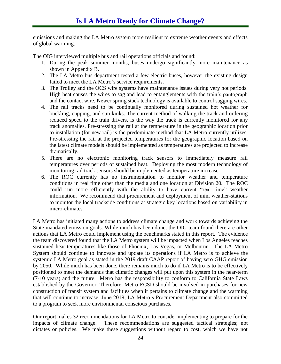emissions and making the LA Metro system more resilient to extreme weather events and effects of global warming.

The OIG interviewed multiple bus and rail operations officials and found:

- 1. During the peak summer months, buses undergo significantly more maintenance as shown in Appendix B.
- 2. The LA Metro bus department tested a few electric buses, however the existing design failed to meet the LA Metro's service requirements.
- 3. The Trolley and the OCS wire systems have maintenance issues during very hot periods. High heat causes the wires to sag and lead to entanglements with the train's pantograph and the contact wire. Newer spring stack technology is available to control sagging wires.
- 4. The rail tracks need to be continually monitored during sustained hot weather for buckling, cupping, and sun kinks. The current method of walking the track and ordering reduced speed to the train drivers, is the way the track is currently monitored for any track anomalies. Pre-stressing the rail at the temperature in the geographic location prior to installation (for new rail) is the predominate method that LA Metro currently utilizes. Pre-stressing the rail at the projected temperatures for the geographic location based on the latest climate models should be implemented as temperatures are projected to increase dramatically.
- 5. There are no electronic monitoring track sensors to immediately measure rail temperatures over periods of sustained heat. Deploying the most modern technology of monitoring rail track sensors should be implemented as temperature increase.
- 6. The ROC currently has no instrumentation to monitor weather and temperature conditions in real time other than the media and one location at Division 20. The ROC could run more efficiently with the ability to have current "real time" weather information. We recommend that procurement and deployment of mini weather-stations to monitor the local trackside conditions at strategic key locations based on variability in micro-climates.

LA Metro has initiated many actions to address climate change and work towards achieving the State mandated emission goals. While much has been done, the OIG team found there are other actions that LA Metro could implement using the benchmarks stated in this report. The evidence the team discovered found that the LA Metro system will be impacted when Los Angeles reaches sustained heat temperatures like those of Phoenix, Las Vegas, or Melbourne. The LA Metro System should continue to innovate and update its operations if LA Metro is to achieve the systemic LA Metro goal as stated in the 2019 draft CAAP report of having zero GHG emission by 2050. While much has been done, there remains much to do if LA Metro is to be effectively positioned to meet the demands that climatic changes will put upon this system in the near-term (7-10 years) and the future. Metro has the responsibility to conform to California State Laws established by the Governor. Therefore, Metro ECSD should be involved in purchases for new construction of transit system and facilities when it pertains to climate change and the warming that will continue to increase. June 2019, LA Metro's Procurement Department also committed to a program to seek more environmental conscious purchases.

Our report makes 32 recommendations for LA Metro to consider implementing to prepare for the impacts of climate change. These recommendations are suggested tactical strategies; not dictates or policies. We make these suggestions without regard to cost, which we have not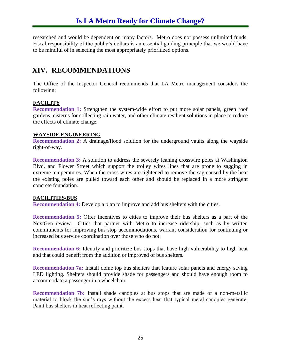researched and would be dependent on many factors. Metro does not possess unlimited funds. Fiscal responsibility of the public's dollars is an essential guiding principle that we would have to be mindful of in selecting the most appropriately prioritized options.

# <span id="page-27-0"></span>**XIV. RECOMMENDATIONS**

The Office of the Inspector General recommends that LA Metro management considers the following:

### **FACILITY**

**Recommendation 1:** Strengthen the system-wide effort to put more solar panels, green roof gardens, cisterns for collecting rain water, and other climate resilient solutions in place to reduce the effects of climate change.

### **WAYSIDE ENGINEERING**

**Recommendation 2:** A drainage/flood solution for the underground vaults along the wayside right-of-way.

**Recommendation 3:** A solution to address the severely leaning crosswire poles at Washington Blvd. and Flower Street which support the trolley wires lines that are prone to sagging in extreme temperatures. When the cross wires are tightened to remove the sag caused by the heat the existing poles are pulled toward each other and should be replaced in a more stringent concrete foundation.

### **FACILITIES/BUS**

**Recommendation 4:** Develop a plan to improve and add bus shelters with the cities.

**Recommendation 5:** Offer Incentives to cities to improve their bus shelters as a part of the NextGen review. Cities that partner with Metro to increase ridership, such as by written commitments for improving bus stop accommodations, warrant consideration for continuing or increased bus service coordination over those who do not.

**Recommendation 6:** Identify and prioritize bus stops that have high vulnerability to high heat and that could benefit from the addition or improved of bus shelters.

**Recommendation 7a:** Install dome top bus shelters that feature solar panels and energy saving LED lighting. Shelters should provide shade for passengers and should have enough room to accommodate a passenger in a wheelchair.

**Recommendation 7b:** Install shade canopies at bus stops that are made of a non-metallic material to block the sun's rays without the excess heat that typical metal canopies generate. Paint bus shelters in heat reflecting paint.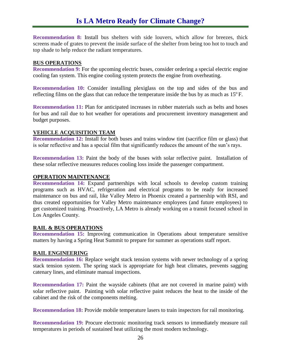**Recommendation 8:** Install bus shelters with side louvers, which allow for breezes, thick screens made of grates to prevent the inside surface of the shelter from being too hot to touch and top shade to help reduce the radiant temperatures.

#### **BUS OPERATIONS**

**Recommendation 9:** For the upcoming electric buses, consider ordering a special electric engine cooling fan system. This engine cooling system protects the engine from overheating.

**Recommendation 10:** Consider installing plexiglass on the top and sides of the bus and reflecting films on the glass that can reduce the temperature inside the bus by as much as  $15^{\circ}$  F.

**Recommendation 11: Plan for anticipated increases in rubber materials such as belts and hoses** for bus and rail due to hot weather for operations and procurement inventory management and budget purposes.

### **VEHICLE ACQUISITION TEAM**

**Recommendation 12:** Install for both buses and trains window tint (sacrifice film or glass) that is solar reflective and has a special film that significantly reduces the amount of the sun's rays.

**Recommendation 13:** Paint the body of the buses with solar reflective paint. Installation of these solar reflective measures reduces cooling loss inside the passenger compartment.

#### **OPERATION MAINTENANCE**

**Recommendation 14:** Expand partnerships with local schools to develop custom training programs such as HVAC, refrigeration and electrical programs to be ready for increased maintenance on bus and rail, like Valley Metro in Phoenix created a partnership with RSI, and thus created opportunities for Valley Metro maintenance employees (and future employees) to get customized training. Proactively, LA Metro is already working on a transit focused school in Los Angeles County.

#### **RAIL & BUS OPERATIONS**

**Recommendation 15:** Improving communication in Operations about temperature sensitive matters by having a Spring Heat Summit to prepare for summer as operations staff report.

#### **RAIL ENGINEERING**

**Recommendation 16:** Replace weight stack tension systems with newer technology of a spring stack tension system. The spring stack is appropriate for high heat climates, prevents sagging catenary lines, and eliminate manual inspections.

**Recommendation 17:** Paint the wayside cabinets (that are not covered in marine paint) with solar reflective paint. Painting with solar reflective paint reduces the heat to the inside of the cabinet and the risk of the components melting.

**Recommendation 18:** Provide mobile temperature lasers to train inspectors for rail monitoring.

**Recommendation 19:** Procure electronic monitoring track sensors to immediately measure rail temperatures in periods of sustained heat utilizing the most modern technology.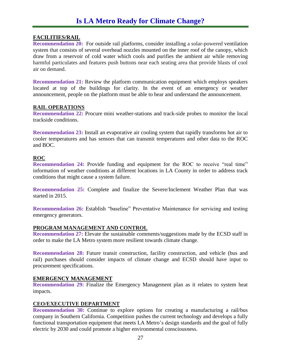### **FACILITIES/RAIL**

**Recommendation 20:** For outside rail platforms, consider installing a solar-powered ventilation system that consists of several overhead nozzles mounted on the inner roof of the canopy, which draw from a reservoir of cold water which cools and purifies the ambient air while removing harmful particulates and features push buttons near each seating area that provide blasts of cool air on demand.

**Recommendation 21:** Review the platform communication equipment which employs speakers located at top of the buildings for clarity. In the event of an emergency or weather announcement, people on the platform must be able to hear and understand the announcement.

### **RAIL OPERATIONS**

**Recommendation 22:** Procure mini weather-stations and track-side probes to monitor the local trackside conditions.

**Recommendation 23:** Install an evaporative air cooling system that rapidly transforms hot air to cooler temperatures and has sensors that can transmit temperatures and other data to the ROC and BOC.

### **ROC**

**Recommendation 24:** Provide funding and equipment for the ROC to receive "real time" information of weather conditions at different locations in LA County in order to address track conditions that might cause a system failure.

**Recommendation 25:** Complete and finalize the Severe/Inclement Weather Plan that was started in 2015.

**Recommendation 26:** Establish "baseline" Preventative Maintenance for servicing and testing emergency generators.

### **PROGRAM MANAGEMENT AND CONTROL**

**Recommendation 27:** Elevate the sustainable comments/suggestions made by the ECSD staff in order to make the LA Metro system more resilient towards climate change.

**Recommendation 28:** Future transit construction, facility construction, and vehicle (bus and rail) purchases should consider impacts of climate change and ECSD should have input to procurement specifications.

### **EMERGENCY MANAGEMENT**

**Recommendation 29:** Finalize the Emergency Management plan as it relates to system heat impacts.

#### **CEO/EXECUTIVE DEPARTMENT**

**Recommendation 30:** Continue to explore options for creating a manufacturing a rail/bus company in Southern California. Competition pushes the current technology and develops a fully functional transportation equipment that meets LA Metro's design standards and the goal of fully electric by 2030 and could promote a higher environmental consciousness.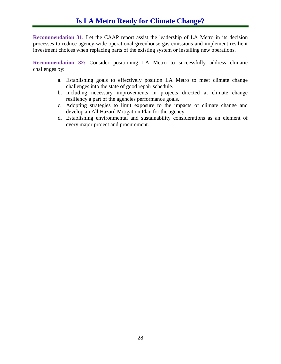**Recommendation 31:** Let the CAAP report assist the leadership of LA Metro in its decision processes to reduce agency-wide operational greenhouse gas emissions and implement resilient investment choices when replacing parts of the existing system or installing new operations.

**Recommendation 32:** Consider positioning LA Metro to successfully address climatic challenges by:

- a. Establishing goals to effectively position LA Metro to meet climate change challenges into the state of good repair schedule.
- b. Including necessary improvements in projects directed at climate change resiliency a part of the agencies performance goals.
- c. Adopting strategies to limit exposure to the impacts of climate change and develop an All Hazard Mitigation Plan for the agency.
- d. Establishing environmental and sustainability considerations as an element of every major project and procurement.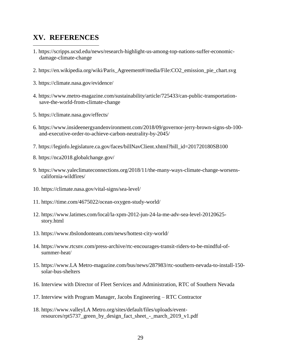### <span id="page-31-0"></span>**XV. REFERENCES**

l

- 1. [https://scripps.ucsd.edu/news/research-highlight-us-among-top-nations-suffer-economic](https://scripps.ucsd.edu/news/research-highlight-us-among-top-nations-suffer-economic-damage-climate-change)[damage-climate-change](https://scripps.ucsd.edu/news/research-highlight-us-among-top-nations-suffer-economic-damage-climate-change)
- 2. [https://en.wikipedia.org/wiki/Paris\\_Agreement#/media/File:CO2\\_emission\\_pie\\_chart.svg](https://en.wikipedia.org/wiki/Paris_Agreement#/media/File:CO2_emission_pie_chart.svg)
- 3.<https://climate.nasa.gov/evidence/>
- 4. https://www.metro-magazine.com/sustainability/article/725433/can-public-transportationsave-the-world-from-climate-change
- 5.<https://climate.nasa.gov/effects/>
- 6. [https://www.insideenergyandenvironment.com/2018/09/governor-jerry-brown-signs-sb-100](https://www.insideenergyandenvironment.com/2018/09/governor-jerry-brown-signs-sb-100-and-executive-order-to-achieve-carbon-neutrality-by-2045/) [and-executive-order-to-achieve-carbon-neutrality-by-2045/](https://www.insideenergyandenvironment.com/2018/09/governor-jerry-brown-signs-sb-100-and-executive-order-to-achieve-carbon-neutrality-by-2045/)
- 7. [https://leginfo.legislature.ca.gov/faces/billNavClient.xhtml?bill\\_id=201720180SB100](https://leginfo.legislature.ca.gov/faces/billNavClient.xhtml?bill_id=201720180SB100)
- 8. https://nca2018.globalchange.gov/
- 9. [https://www.yaleclimateconnections.org/2018/11/the-many-ways-climate-change-worsens](https://www.yaleclimateconnections.org/2018/11/the-many-ways-climate-change-worsens-california-wildfires/)[california-wildfires/](https://www.yaleclimateconnections.org/2018/11/the-many-ways-climate-change-worsens-california-wildfires/)
- 10.<https://climate.nasa.gov/vital-signs/sea-level/>
- 11.<https://time.com/4675022/ocean-oxygen-study-world/>
- 12. [https://www.latimes.com/local/la-xpm-2012-jun-24-la-me-adv-sea-level-20120625](https://www.latimes.com/local/la-xpm-2012-jun-24-la-me-adv-sea-level-20120625-story.html) [story.html](https://www.latimes.com/local/la-xpm-2012-jun-24-la-me-adv-sea-level-20120625-story.html)
- 13.<https://www.tbslondonteam.com/news/hottest-city-world/>
- 14. [https://www.rtcsnv.com/press-archive/rtc-encourages-transit-riders-to-be-mindful-of](https://www.rtcsnv.com/press-archive/rtc-encourages-transit-riders-to-be-mindful-of-summer-heat/)[summer-heat/](https://www.rtcsnv.com/press-archive/rtc-encourages-transit-riders-to-be-mindful-of-summer-heat/)
- 15. [https://www.LA Metro-magazine.com/bus/news/287983/rtc-southern-nevada-to-install-150](https://www.metro-magazine.com/bus/news/287983/rtc-southern-nevada-to-install-150-solar-bus-shelters) [solar-bus-shelters](https://www.metro-magazine.com/bus/news/287983/rtc-southern-nevada-to-install-150-solar-bus-shelters)
- 16. Interview with Director of Fleet Services and Administration, RTC of Southern Nevada
- 17. Interview with Program Manager, Jacobs Engineering RTC Contractor
- 18. [https://www.valleyLA Metro.org/sites/default/files/uploads/event](https://www.valleymetro.org/sites/default/files/uploads/event-resources/rpt5737_green_by_design_fact_sheet_-_march_2019_v1.pdf)[resources/rpt5737\\_green\\_by\\_design\\_fact\\_sheet\\_-\\_march\\_2019\\_v1.pdf](https://www.valleymetro.org/sites/default/files/uploads/event-resources/rpt5737_green_by_design_fact_sheet_-_march_2019_v1.pdf)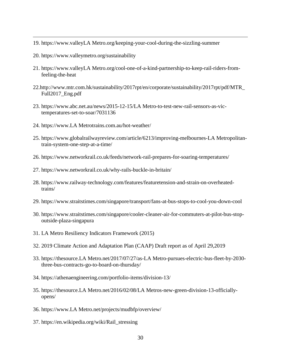- 19. [https://www.valleyLA Metro.org/keeping-your-cool-during-the-sizzling-summer](https://www.valleymetro.org/keeping-your-cool-during-the-sizzling-summer)
- 20.<https://www.valleymetro.org/sustainability>

l

- 21. [https://www.valleyLA Metro.org/cool-one-of-a-kind-partnership-to-keep-rail-riders-from](https://www.valleymetro.org/cool-one-of-a-kind-partnership-to-keep-rail-riders-from-feeling-the-heat)[feeling-the-heat](https://www.valleymetro.org/cool-one-of-a-kind-partnership-to-keep-rail-riders-from-feeling-the-heat)
- 22[.http://www.mtr.com.hk/sustainability/2017rpt/en/corporate/sustainability/2017rpt/pdf/MTR\\_](http://www.mtr.com.hk/sustainability/2017rpt/en/corporate/sustainability/2017rpt/pdf/MTR_Full2017_Eng.pdf) [Full2017\\_Eng.pdf](http://www.mtr.com.hk/sustainability/2017rpt/en/corporate/sustainability/2017rpt/pdf/MTR_Full2017_Eng.pdf)
- 23. [https://www.abc.net.au/news/2015-12-15/LA Metro-to-test-new-rail-sensors-as-vic](https://www.abc.net.au/news/2015-12-15/metro-to-test-new-rail-sensors-as-vic-temperatures-set-to-soar/7031136)[temperatures-set-to-soar/7031136](https://www.abc.net.au/news/2015-12-15/metro-to-test-new-rail-sensors-as-vic-temperatures-set-to-soar/7031136)
- 24. [https://www.LA Metrotrains.com.au/hot-weather/](https://www.metrotrains.com.au/hot-weather/)
- 25. [https://www.globalrailwayreview.com/article/6213/improving-melbournes-LA Metropolitan](https://www.globalrailwayreview.com/article/6213/improving-melbournes-metropolitan-train-system-one-step-at-a-time/)[train-system-one-step-at-a-time/](https://www.globalrailwayreview.com/article/6213/improving-melbournes-metropolitan-train-system-one-step-at-a-time/)
- 26.<https://www.networkrail.co.uk/feeds/network-rail-prepares-for-soaring-temperatures/>
- 27.<https://www.networkrail.co.uk/why-rails-buckle-in-britain/>
- 28. [https://www.railway-technology.com/features/featuretension-and-strain-on-overheated](https://www.railway-technology.com/features/featuretension-and-strain-on-overheated-trains/)[trains/](https://www.railway-technology.com/features/featuretension-and-strain-on-overheated-trains/)
- 29.<https://www.straitstimes.com/singapore/transport/fans-at-bus-stops-to-cool-you-down-cool>
- 30. [https://www.straitstimes.com/singapore/cooler-cleaner-air-for-commuters-at-pilot-bus-stop](https://www.straitstimes.com/singapore/cooler-cleaner-air-for-commuters-at-pilot-bus-stop-outside-plaza-singapura)[outside-plaza-singapura](https://www.straitstimes.com/singapore/cooler-cleaner-air-for-commuters-at-pilot-bus-stop-outside-plaza-singapura)
- 31. LA Metro Resiliency Indicators Framework (2015)
- 32. 2019 Climate Action and Adaptation Plan (CAAP) Draft report as of April 29,2019
- 33. [https://thesource.LA Metro.net/2017/07/27/as-LA Metro-pursues-electric-bus-fleet-by-2030](https://thesource.metro.net/2017/07/27/as-metro-pursues-electric-bus-fleet-by-2030-three-bus-contracts-go-to-board-on-thursday/) [three-bus-contracts-go-to-board-on-thursday/](https://thesource.metro.net/2017/07/27/as-metro-pursues-electric-bus-fleet-by-2030-three-bus-contracts-go-to-board-on-thursday/)
- 34.<https://athenaengineering.com/portfolio-items/division-13/>
- 35. [https://thesource.LA Metro.net/2016/02/08/LA Metros-new-green-division-13-officially](https://thesource.metro.net/2016/02/08/metros-new-green-division-13-officially-opens/)[opens/](https://thesource.metro.net/2016/02/08/metros-new-green-division-13-officially-opens/)
- 36. [https://www.LA Metro.net/projects/mudbfp/overview/](https://www.metro.net/projects/mudbfp/overview/)
- 37. [https://en.wikipedia.org/wiki/Rail\\_stressing](https://en.wikipedia.org/wiki/Rail_stressing)